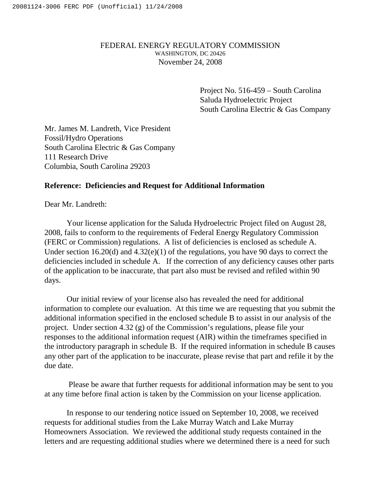# FEDERAL ENERGY REGULATORY COMMISSION WASHINGTON, DC 20426 November 24, 2008

Project No. 516-459 – South Carolina Saluda Hydroelectric Project South Carolina Electric & Gas Company

Mr. James M. Landreth, Vice President Fossil/Hydro Operations South Carolina Electric & Gas Company 111 Research Drive Columbia, South Carolina 29203

# **Reference: Deficiencies and Request for Additional Information**

Dear Mr. Landreth:

Your license application for the Saluda Hydroelectric Project filed on August 28, 2008, fails to conform to the requirements of Federal Energy Regulatory Commission (FERC or Commission) regulations. A list of deficiencies is enclosed as schedule A. Under section 16.20(d) and 4.32(e)(1) of the regulations, you have 90 days to correct the deficiencies included in schedule A. If the correction of any deficiency causes other parts of the application to be inaccurate, that part also must be revised and refiled within 90 days.

Our initial review of your license also has revealed the need for additional information to complete our evaluation. At this time we are requesting that you submit the additional information specified in the enclosed schedule B to assist in our analysis of the project. Under section 4.32 (g) of the Commission's regulations, please file your responses to the additional information request (AIR) within the timeframes specified in the introductory paragraph in schedule B. If the required information in schedule B causes any other part of the application to be inaccurate, please revise that part and refile it by the due date.

Please be aware that further requests for additional information may be sent to you at any time before final action is taken by the Commission on your license application.

In response to our tendering notice issued on September 10, 2008, we received requests for additional studies from the Lake Murray Watch and Lake Murray Homeowners Association. We reviewed the additional study requests contained in the letters and are requesting additional studies where we determined there is a need for such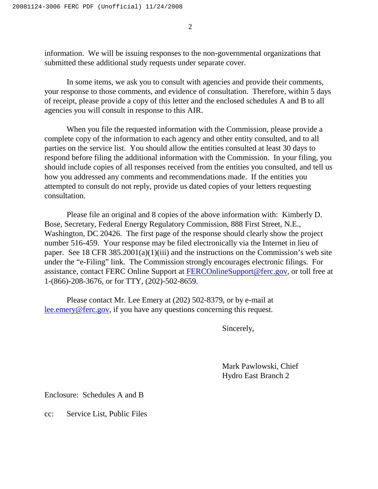2

information. We will be issuing responses to the non-governmental organizations that submitted these additional study requests under separate cover.

In some items, we ask you to consult with agencies and provide their comments, your response to those comments, and evidence of consultation. Therefore, within 5 days of receipt, please provide a copy of this letter and the enclosed schedules A and B to all agencies you will consult in response to this AIR.

When you file the requested information with the Commission, please provide a complete copy of the information to each agency and other entity consulted, and to all parties on the service list. You should allow the entities consulted at least 30 days to respond before filing the additional information with the Commission. In your filing, you should include copies of all responses received from the entities you consulted, and tell us how you addressed any comments and recommendations made. If the entities you attempted to consult do not reply, provide us dated copies of your letters requesting consultation.

Please file an original and 8 copies of the above information with: Kimberly D. Bose, Secretary, Federal Energy Regulatory Commission, 888 First Street, N.E., Washington, DC 20426. The first page of the response should clearly show the project number 516-459. Your response may be filed electronically via the Internet in lieu of paper. See 18 CFR 385.2001(a)(1)(iii) and the instructions on the Commission's web site under the "e-Filing" link. The Commission strongly encourages electronic filings. For assistance, contact FERC Online Support at FERCOnlineSupport@ferc.gov, or toll free at 1-(866)-208-3676, or for TTY, (202)-502-8659.

Please contact Mr. Lee Emery at (202) 502-8379, or by e-mail at lee.emery@ferc.gov, if you have any questions concerning this request.

Sincerely,

Mark Pawlowski, Chief Hydro East Branch 2

Enclosure: Schedules A and B

cc: Service List, Public Files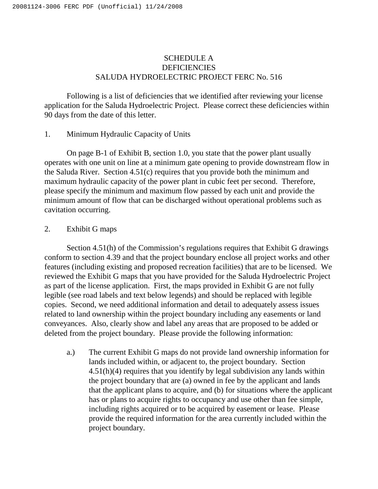# SCHEDULE A **DEFICIENCIES** SALUDA HYDROELECTRIC PROJECT FERC No. 516

Following is a list of deficiencies that we identified after reviewing your license application for the Saluda Hydroelectric Project. Please correct these deficiencies within 90 days from the date of this letter.

## 1. Minimum Hydraulic Capacity of Units

On page B-1 of Exhibit B, section 1.0, you state that the power plant usually operates with one unit on line at a minimum gate opening to provide downstream flow in the Saluda River. Section 4.51(c) requires that you provide both the minimum and maximum hydraulic capacity of the power plant in cubic feet per second. Therefore, please specify the minimum and maximum flow passed by each unit and provide the minimum amount of flow that can be discharged without operational problems such as cavitation occurring.

## 2. Exhibit G maps

Section 4.51(h) of the Commission's regulations requires that Exhibit G drawings conform to section 4.39 and that the project boundary enclose all project works and other features (including existing and proposed recreation facilities) that are to be licensed. We reviewed the Exhibit G maps that you have provided for the Saluda Hydroelectric Project as part of the license application. First, the maps provided in Exhibit G are not fully legible (see road labels and text below legends) and should be replaced with legible copies. Second, we need additional information and detail to adequately assess issues related to land ownership within the project boundary including any easements or land conveyances. Also, clearly show and label any areas that are proposed to be added or deleted from the project boundary. Please provide the following information:

a.) The current Exhibit G maps do not provide land ownership information for lands included within, or adjacent to, the project boundary. Section 4.51(h)(4) requires that you identify by legal subdivision any lands within the project boundary that are (a) owned in fee by the applicant and lands that the applicant plans to acquire, and (b) for situations where the applicant has or plans to acquire rights to occupancy and use other than fee simple, including rights acquired or to be acquired by easement or lease. Please provide the required information for the area currently included within the project boundary.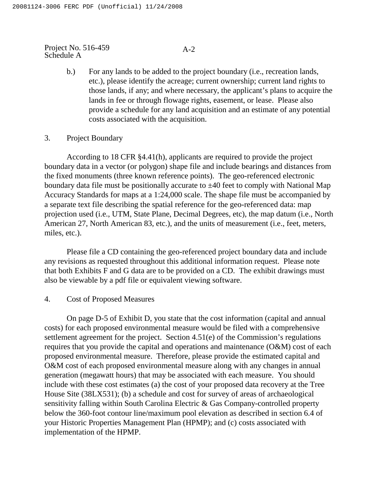# $A-2$

- b.) For any lands to be added to the project boundary (i.e., recreation lands, etc.), please identify the acreage; current ownership; current land rights to those lands, if any; and where necessary, the applicant's plans to acquire the lands in fee or through flowage rights, easement, or lease. Please also provide a schedule for any land acquisition and an estimate of any potential costs associated with the acquisition.
- 3. Project Boundary

According to 18 CFR §4.41(h), applicants are required to provide the project boundary data in a vector (or polygon) shape file and include bearings and distances from the fixed monuments (three known reference points). The geo-referenced electronic boundary data file must be positionally accurate to  $\pm 40$  feet to comply with National Map Accuracy Standards for maps at a 1:24,000 scale. The shape file must be accompanied by a separate text file describing the spatial reference for the geo-referenced data: map projection used (i.e., UTM, State Plane, Decimal Degrees, etc), the map datum (i.e., North American 27, North American 83, etc.), and the units of measurement (i.e., feet, meters, miles, etc.).

Please file a CD containing the geo-referenced project boundary data and include any revisions as requested throughout this additional information request. Please note that both Exhibits F and G data are to be provided on a CD. The exhibit drawings must also be viewable by a pdf file or equivalent viewing software.

4. Cost of Proposed Measures

On page D-5 of Exhibit D, you state that the cost information (capital and annual costs) for each proposed environmental measure would be filed with a comprehensive settlement agreement for the project. Section 4.51(e) of the Commission's regulations requires that you provide the capital and operations and maintenance (O&M) cost of each proposed environmental measure. Therefore, please provide the estimated capital and O&M cost of each proposed environmental measure along with any changes in annual generation (megawatt hours) that may be associated with each measure. You should include with these cost estimates (a) the cost of your proposed data recovery at the Tree House Site (38LX531); (b) a schedule and cost for survey of areas of archaeological sensitivity falling within South Carolina Electric & Gas Company-controlled property below the 360-foot contour line/maximum pool elevation as described in section 6.4 of your Historic Properties Management Plan (HPMP); and (c) costs associated with implementation of the HPMP.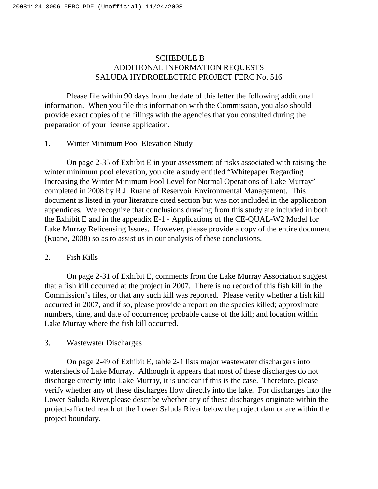# SCHEDULE B ADDITIONAL INFORMATION REQUESTS SALUDA HYDROELECTRIC PROJECT FERC No. 516

Please file within 90 days from the date of this letter the following additional information. When you file this information with the Commission, you also should provide exact copies of the filings with the agencies that you consulted during the preparation of your license application.

# 1. Winter Minimum Pool Elevation Study

On page 2-35 of Exhibit E in your assessment of risks associated with raising the winter minimum pool elevation, you cite a study entitled "Whitepaper Regarding Increasing the Winter Minimum Pool Level for Normal Operations of Lake Murray" completed in 2008 by R.J. Ruane of Reservoir Environmental Management. This document is listed in your literature cited section but was not included in the application appendices. We recognize that conclusions drawing from this study are included in both the Exhibit E and in the appendix E-1 - Applications of the CE-QUAL-W2 Model for Lake Murray Relicensing Issues. However, please provide a copy of the entire document (Ruane, 2008) so as to assist us in our analysis of these conclusions.

## 2. Fish Kills

On page 2-31 of Exhibit E, comments from the Lake Murray Association suggest that a fish kill occurred at the project in 2007. There is no record of this fish kill in the Commission's files, or that any such kill was reported. Please verify whether a fish kill occurred in 2007, and if so, please provide a report on the species killed; approximate numbers, time, and date of occurrence; probable cause of the kill; and location within Lake Murray where the fish kill occurred.

## 3. Wastewater Discharges

On page 2-49 of Exhibit E, table 2-1 lists major wastewater dischargers into watersheds of Lake Murray. Although it appears that most of these discharges do not discharge directly into Lake Murray, it is unclear if this is the case. Therefore, please verify whether any of these discharges flow directly into the lake. For discharges into the Lower Saluda River,please describe whether any of these discharges originate within the project-affected reach of the Lower Saluda River below the project dam or are within the project boundary.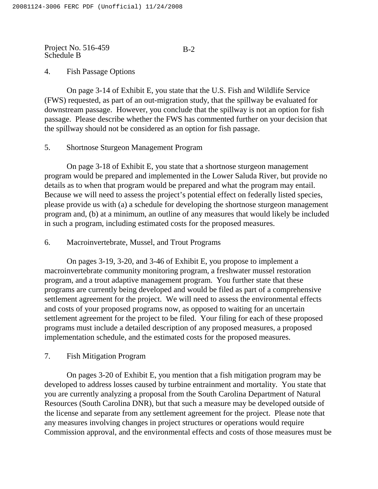# B-2

# 4. Fish Passage Options

On page 3-14 of Exhibit E, you state that the U.S. Fish and Wildlife Service (FWS) requested, as part of an out-migration study, that the spillway be evaluated for downstream passage. However, you conclude that the spillway is not an option for fish passage. Please describe whether the FWS has commented further on your decision that the spillway should not be considered as an option for fish passage.

# 5. Shortnose Sturgeon Management Program

On page 3-18 of Exhibit E, you state that a shortnose sturgeon management program would be prepared and implemented in the Lower Saluda River, but provide no details as to when that program would be prepared and what the program may entail. Because we will need to assess the project's potential effect on federally listed species, please provide us with (a) a schedule for developing the shortnose sturgeon management program and, (b) at a minimum, an outline of any measures that would likely be included in such a program, including estimated costs for the proposed measures.

# 6. Macroinvertebrate, Mussel, and Trout Programs

On pages 3-19, 3-20, and 3-46 of Exhibit E, you propose to implement a macroinvertebrate community monitoring program, a freshwater mussel restoration program, and a trout adaptive management program. You further state that these programs are currently being developed and would be filed as part of a comprehensive settlement agreement for the project. We will need to assess the environmental effects and costs of your proposed programs now, as opposed to waiting for an uncertain settlement agreement for the project to be filed. Your filing for each of these proposed programs must include a detailed description of any proposed measures, a proposed implementation schedule, and the estimated costs for the proposed measures.

# 7. Fish Mitigation Program

On pages 3-20 of Exhibit E, you mention that a fish mitigation program may be developed to address losses caused by turbine entrainment and mortality. You state that you are currently analyzing a proposal from the South Carolina Department of Natural Resources (South Carolina DNR), but that such a measure may be developed outside of the license and separate from any settlement agreement for the project. Please note that any measures involving changes in project structures or operations would require Commission approval, and the environmental effects and costs of those measures must be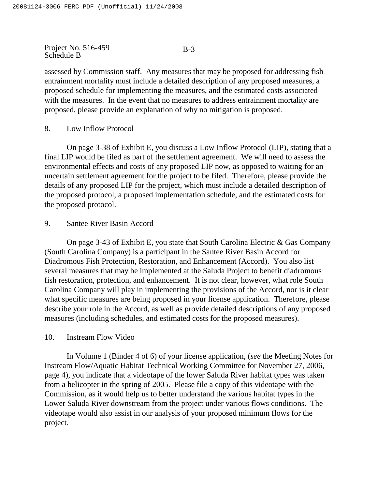assessed by Commission staff. Any measures that may be proposed for addressing fish entrainment mortality must include a detailed description of any proposed measures, a proposed schedule for implementing the measures, and the estimated costs associated with the measures. In the event that no measures to address entrainment mortality are proposed, please provide an explanation of why no mitigation is proposed.

8. Low Inflow Protocol

On page 3-38 of Exhibit E, you discuss a Low Inflow Protocol (LIP), stating that a final LIP would be filed as part of the settlement agreement. We will need to assess the environmental effects and costs of any proposed LIP now, as opposed to waiting for an uncertain settlement agreement for the project to be filed. Therefore, please provide the details of any proposed LIP for the project, which must include a detailed description of the proposed protocol, a proposed implementation schedule, and the estimated costs for the proposed protocol.

## 9. Santee River Basin Accord

On page 3-43 of Exhibit E, you state that South Carolina Electric & Gas Company (South Carolina Company) is a participant in the Santee River Basin Accord for Diadromous Fish Protection, Restoration, and Enhancement (Accord). You also list several measures that may be implemented at the Saluda Project to benefit diadromous fish restoration, protection, and enhancement. It is not clear, however, what role South Carolina Company will play in implementing the provisions of the Accord, nor is it clear what specific measures are being proposed in your license application. Therefore, please describe your role in the Accord, as well as provide detailed descriptions of any proposed measures (including schedules, and estimated costs for the proposed measures).

## 10. Instream Flow Video

In Volume 1 (Binder 4 of 6) of your license application, (*see* the Meeting Notes for Instream Flow/Aquatic Habitat Technical Working Committee for November 27, 2006, page 4), you indicate that a videotape of the lower Saluda River habitat types was taken from a helicopter in the spring of 2005. Please file a copy of this videotape with the Commission, as it would help us to better understand the various habitat types in the Lower Saluda River downstream from the project under various flows conditions. The videotape would also assist in our analysis of your proposed minimum flows for the project.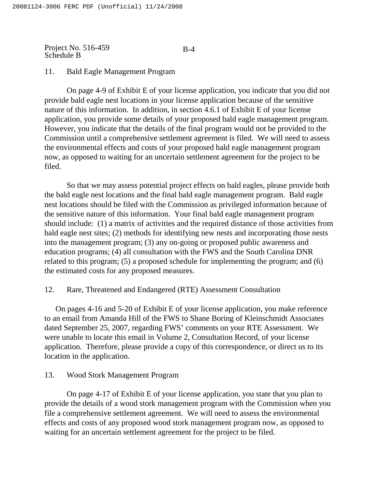#### B-4

## 11. Bald Eagle Management Program

On page 4-9 of Exhibit E of your license application, you indicate that you did not provide bald eagle nest locations in your license application because of the sensitive nature of this information. In addition, in section 4.6.1 of Exhibit E of your license application, you provide some details of your proposed bald eagle management program. However, you indicate that the details of the final program would not be provided to the Commission until a comprehensive settlement agreement is filed. We will need to assess the environmental effects and costs of your proposed bald eagle management program now, as opposed to waiting for an uncertain settlement agreement for the project to be filed.

So that we may assess potential project effects on bald eagles, please provide both the bald eagle nest locations and the final bald eagle management program. Bald eagle nest locations should be filed with the Commission as privileged information because of the sensitive nature of this information. Your final bald eagle management program should include: (1) a matrix of activities and the required distance of those activities from bald eagle nest sites; (2) methods for identifying new nests and incorporating those nests into the management program; (3) any on-going or proposed public awareness and education programs; (4) all consultation with the FWS and the South Carolina DNR related to this program; (5) a proposed schedule for implementing the program; and (6) the estimated costs for any proposed measures.

## 12. Rare, Threatened and Endangered (RTE) Assessment Consultation

On pages 4-16 and 5-20 of Exhibit E of your license application, you make reference to an email from Amanda Hill of the FWS to Shane Boring of Kleinschmidt Associates dated September 25, 2007, regarding FWS' comments on your RTE Assessment. We were unable to locate this email in Volume 2, Consultation Record, of your license application. Therefore, please provide a copy of this correspondence, or direct us to its location in the application.

### 13. Wood Stork Management Program

On page 4-17 of Exhibit E of your license application, you state that you plan to provide the details of a wood stork management program with the Commission when you file a comprehensive settlement agreement. We will need to assess the environmental effects and costs of any proposed wood stork management program now, as opposed to waiting for an uncertain settlement agreement for the project to be filed.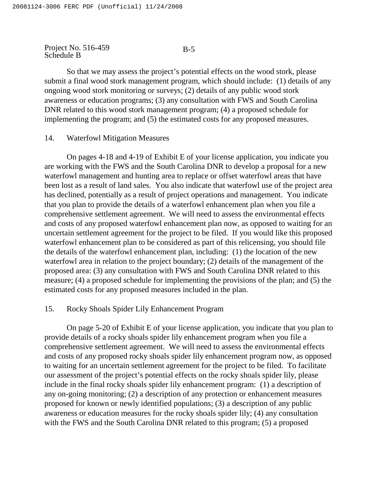#### B-5

So that we may assess the project's potential effects on the wood stork, please submit a final wood stork management program, which should include: (1) details of any ongoing wood stork monitoring or surveys; (2) details of any public wood stork awareness or education programs; (3) any consultation with FWS and South Carolina DNR related to this wood stork management program; (4) a proposed schedule for implementing the program; and (5) the estimated costs for any proposed measures.

#### 14. Waterfowl Mitigation Measures

On pages 4-18 and 4-19 of Exhibit E of your license application, you indicate you are working with the FWS and the South Carolina DNR to develop a proposal for a new waterfowl management and hunting area to replace or offset waterfowl areas that have been lost as a result of land sales. You also indicate that waterfowl use of the project area has declined, potentially as a result of project operations and management. You indicate that you plan to provide the details of a waterfowl enhancement plan when you file a comprehensive settlement agreement. We will need to assess the environmental effects and costs of any proposed waterfowl enhancement plan now, as opposed to waiting for an uncertain settlement agreement for the project to be filed. If you would like this proposed waterfowl enhancement plan to be considered as part of this relicensing, you should file the details of the waterfowl enhancement plan, including: (1) the location of the new waterfowl area in relation to the project boundary; (2) details of the management of the proposed area: (3) any consultation with FWS and South Carolina DNR related to this measure; (4) a proposed schedule for implementing the provisions of the plan; and (5) the estimated costs for any proposed measures included in the plan.

# 15. Rocky Shoals Spider Lily Enhancement Program

On page 5-20 of Exhibit E of your license application, you indicate that you plan to provide details of a rocky shoals spider lily enhancement program when you file a comprehensive settlement agreement. We will need to assess the environmental effects and costs of any proposed rocky shoals spider lily enhancement program now, as opposed to waiting for an uncertain settlement agreement for the project to be filed. To facilitate our assessment of the project's potential effects on the rocky shoals spider lily, please include in the final rocky shoals spider lily enhancement program: (1) a description of any on-going monitoring; (2) a description of any protection or enhancement measures proposed for known or newly identified populations; (3) a description of any public awareness or education measures for the rocky shoals spider lily; (4) any consultation with the FWS and the South Carolina DNR related to this program; (5) a proposed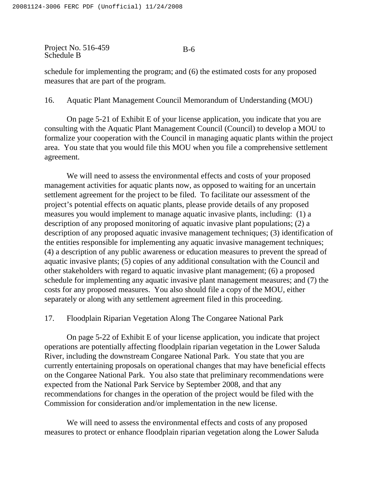#### B-6

schedule for implementing the program; and (6) the estimated costs for any proposed measures that are part of the program.

16. Aquatic Plant Management Council Memorandum of Understanding (MOU)

On page 5-21 of Exhibit E of your license application, you indicate that you are consulting with the Aquatic Plant Management Council (Council) to develop a MOU to formalize your cooperation with the Council in managing aquatic plants within the project area. You state that you would file this MOU when you file a comprehensive settlement agreement.

We will need to assess the environmental effects and costs of your proposed management activities for aquatic plants now, as opposed to waiting for an uncertain settlement agreement for the project to be filed. To facilitate our assessment of the project's potential effects on aquatic plants, please provide details of any proposed measures you would implement to manage aquatic invasive plants, including: (1) a description of any proposed monitoring of aquatic invasive plant populations; (2) a description of any proposed aquatic invasive management techniques; (3) identification of the entities responsible for implementing any aquatic invasive management techniques; (4) a description of any public awareness or education measures to prevent the spread of aquatic invasive plants; (5) copies of any additional consultation with the Council and other stakeholders with regard to aquatic invasive plant management; (6) a proposed schedule for implementing any aquatic invasive plant management measures; and (7) the costs for any proposed measures. You also should file a copy of the MOU, either separately or along with any settlement agreement filed in this proceeding.

17. Floodplain Riparian Vegetation Along The Congaree National Park

On page 5-22 of Exhibit E of your license application, you indicate that project operations are potentially affecting floodplain riparian vegetation in the Lower Saluda River, including the downstream Congaree National Park. You state that you are currently entertaining proposals on operational changes that may have beneficial effects on the Congaree National Park. You also state that preliminary recommendations were expected from the National Park Service by September 2008, and that any recommendations for changes in the operation of the project would be filed with the Commission for consideration and/or implementation in the new license.

We will need to assess the environmental effects and costs of any proposed measures to protect or enhance floodplain riparian vegetation along the Lower Saluda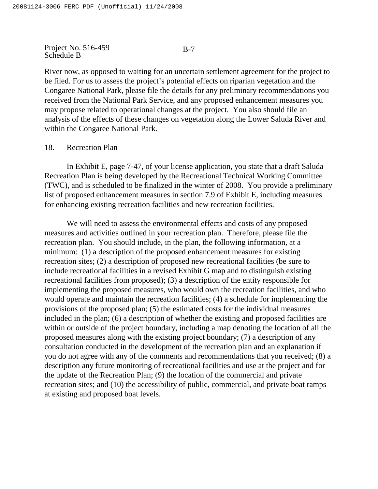#### B-7

River now, as opposed to waiting for an uncertain settlement agreement for the project to be filed. For us to assess the project's potential effects on riparian vegetation and the Congaree National Park, please file the details for any preliminary recommendations you received from the National Park Service, and any proposed enhancement measures you may propose related to operational changes at the project. You also should file an analysis of the effects of these changes on vegetation along the Lower Saluda River and within the Congaree National Park.

## 18. Recreation Plan

In Exhibit E, page 7-47, of your license application, you state that a draft Saluda Recreation Plan is being developed by the Recreational Technical Working Committee (TWC), and is scheduled to be finalized in the winter of 2008. You provide a preliminary list of proposed enhancement measures in section 7.9 of Exhibit E, including measures for enhancing existing recreation facilities and new recreation facilities.

We will need to assess the environmental effects and costs of any proposed measures and activities outlined in your recreation plan. Therefore, please file the recreation plan. You should include, in the plan, the following information, at a minimum: (1) a description of the proposed enhancement measures for existing recreation sites; (2) a description of proposed new recreational facilities (be sure to include recreational facilities in a revised Exhibit G map and to distinguish existing recreational facilities from proposed); (3) a description of the entity responsible for implementing the proposed measures, who would own the recreation facilities, and who would operate and maintain the recreation facilities; (4) a schedule for implementing the provisions of the proposed plan; (5) the estimated costs for the individual measures included in the plan; (6) a description of whether the existing and proposed facilities are within or outside of the project boundary, including a map denoting the location of all the proposed measures along with the existing project boundary; (7) a description of any consultation conducted in the development of the recreation plan and an explanation if you do not agree with any of the comments and recommendations that you received; (8) a description any future monitoring of recreational facilities and use at the project and for the update of the Recreation Plan; (9) the location of the commercial and private recreation sites; and (10) the accessibility of public, commercial, and private boat ramps at existing and proposed boat levels.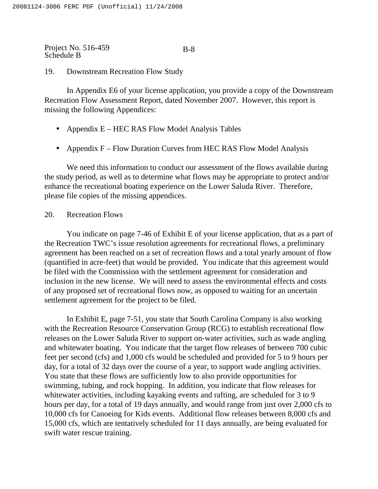## 19. Downstream Recreation Flow Study

In Appendix E6 of your license application, you provide a copy of the Downstream Recreation Flow Assessment Report, dated November 2007. However, this report is missing the following Appendices:

- Appendix E HEC RAS Flow Model Analysis Tables
- Appendix F Flow Duration Curves from HEC RAS Flow Model Analysis

We need this information to conduct our assessment of the flows available during the study period, as well as to determine what flows may be appropriate to protect and/or enhance the recreational boating experience on the Lower Saluda River. Therefore, please file copies of the missing appendices.

# 20. Recreation Flows

You indicate on page 7-46 of Exhibit E of your license application, that as a part of the Recreation TWC's issue resolution agreements for recreational flows, a preliminary agreement has been reached on a set of recreation flows and a total yearly amount of flow (quantified in acre-feet) that would be provided. You indicate that this agreement would be filed with the Commission with the settlement agreement for consideration and inclusion in the new license. We will need to assess the environmental effects and costs of any proposed set of recreational flows now, as opposed to waiting for an uncertain settlement agreement for the project to be filed.

In Exhibit E, page 7-51, you state that South Carolina Company is also working with the Recreation Resource Conservation Group (RCG) to establish recreational flow releases on the Lower Saluda River to support on-water activities, such as wade angling and whitewater boating. You indicate that the target flow releases of between 700 cubic feet per second (cfs) and 1,000 cfs would be scheduled and provided for 5 to 9 hours per day, for a total of 32 days over the course of a year, to support wade angling activities. You state that these flows are sufficiently low to also provide opportunities for swimming, tubing, and rock hopping. In addition, you indicate that flow releases for whitewater activities, including kayaking events and rafting, are scheduled for 3 to 9 hours per day, for a total of 19 days annually, and would range from just over 2,000 cfs to 10,000 cfs for Canoeing for Kids events. Additional flow releases between 8,000 cfs and 15,000 cfs, which are tentatively scheduled for 11 days annually, are being evaluated for swift water rescue training.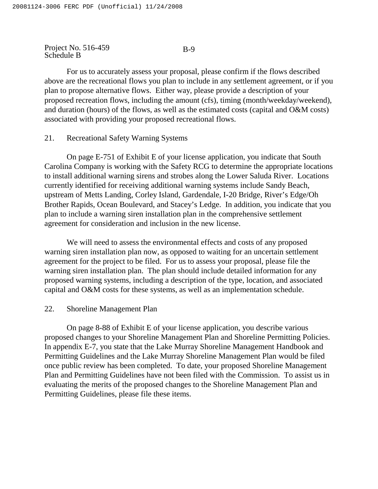B-9

For us to accurately assess your proposal, please confirm if the flows described above are the recreational flows you plan to include in any settlement agreement, or if you plan to propose alternative flows. Either way, please provide a description of your proposed recreation flows, including the amount (cfs), timing (month/weekday/weekend), and duration (hours) of the flows, as well as the estimated costs (capital and O&M costs) associated with providing your proposed recreational flows.

### 21. Recreational Safety Warning Systems

On page E-751 of Exhibit E of your license application, you indicate that South Carolina Company is working with the Safety RCG to determine the appropriate locations to install additional warning sirens and strobes along the Lower Saluda River. Locations currently identified for receiving additional warning systems include Sandy Beach, upstream of Metts Landing, Corley Island, Gardendale, I-20 Bridge, River's Edge/Oh Brother Rapids, Ocean Boulevard, and Stacey's Ledge. In addition, you indicate that you plan to include a warning siren installation plan in the comprehensive settlement agreement for consideration and inclusion in the new license.

We will need to assess the environmental effects and costs of any proposed warning siren installation plan now, as opposed to waiting for an uncertain settlement agreement for the project to be filed. For us to assess your proposal, please file the warning siren installation plan. The plan should include detailed information for any proposed warning systems, including a description of the type, location, and associated capital and O&M costs for these systems, as well as an implementation schedule.

#### 22. Shoreline Management Plan

On page 8-88 of Exhibit E of your license application, you describe various proposed changes to your Shoreline Management Plan and Shoreline Permitting Policies. In appendix E-7, you state that the Lake Murray Shoreline Management Handbook and Permitting Guidelines and the Lake Murray Shoreline Management Plan would be filed once public review has been completed. To date, your proposed Shoreline Management Plan and Permitting Guidelines have not been filed with the Commission. To assist us in evaluating the merits of the proposed changes to the Shoreline Management Plan and Permitting Guidelines, please file these items.